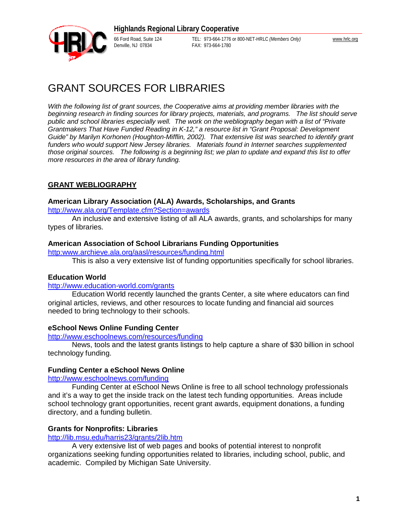

66 Ford Road, Suite 124 TEL: 973-664-1776 or 800-NET-HRLC *(Members Only)* [www.hrlc.org](http://www.hrlc.org) FAX: 973-664-1780

# GRANT SOURCES FOR LIBRARIES

*With the following list of grant sources, the Cooperative aims at providing member libraries with the beginning research in finding sources for library projects, materials, and programs. The list should serve public and school libraries especially well. The work on the webliography began with a list of "Private Grantmakers That Have Funded Reading in K-12," a resource list in "Grant Proposal: Development Guide" by Marilyn Korhonen (Houghton-Mifflin, 2002). That extensive list was searched to identify grant funders who would support New Jersey libraries. Materials found in Internet searches supplemented those original sources. The following is a beginning list; we plan to update and expand this list to offer more resources in the area of library funding.* 

## **GRANT WEBLIOGRAPHY**

### **American Library Association (ALA) Awards, Scholarships, and Grants**

<http://www.ala.org/Template.cfm?Section=awards>

An inclusive and extensive listing of all ALA awards, grants, and scholarships for many types of libraries.

### **American Association of School Librarians Funding Opportunities**

http:[www.archieve.ala.org/aasl/resources/funding.html](http://www.archieve.ala.org/aasl/resources/funding.html)

This is also a very extensive list of funding opportunities specifically for school libraries.

### **Education World**

<http://www.education-world.com/grants>

Education World recently launched the grants Center, a site where educators can find original articles, reviews, and other resources to locate funding and financial aid sources needed to bring technology to their schools.

### **eSchool News Online Funding Center**

<http://www.eschoolnews.com/resources/funding>

News, tools and the latest grants listings to help capture a share of \$30 billion in school technology funding.

### **Funding Center a eSchool News Online**

<http://www.eschoolnews.com/funding>

Funding Center at eSchool News Online is free to all school technology professionals and it's a way to get the inside track on the latest tech funding opportunities. Areas include school technology grant opportunities, recent grant awards, equipment donations, a funding directory, and a funding bulletin.

### **Grants for Nonprofits: Libraries**

<http://lib.msu.edu/harris23/grants/2lib.htm>

A very extensive list of web pages and books of potential interest to nonprofit organizations seeking funding opportunities related to libraries, including school, public, and academic. Compiled by Michigan Sate University.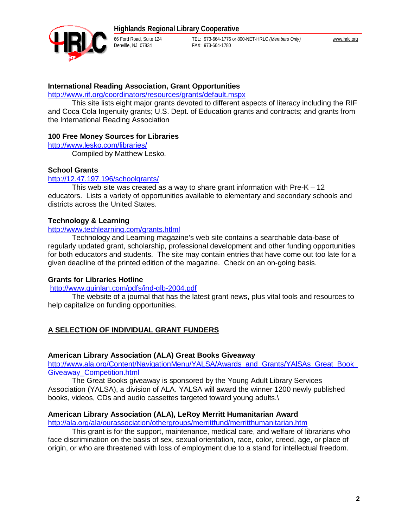

Denville, NJ 07834

66 Ford Road, Suite 124 TEL: 973-664-1776 or 800-NET-HRLC *(Members Only)* [www.hrlc.org](http://www.hrlc.org)

### **International Reading Association, Grant Opportunities**

<http://www.rif.org/coordinators/resources/grants/default.mspx>

This site lists eight major grants devoted to different aspects of literacy including the RIF and Coca Cola Ingenuity grants; U.S. Dept. of Education grants and contracts; and grants from the International Reading Association

### **100 Free Money Sources for Libraries**

<http://www.lesko.com/libraries/>

Compiled by Matthew Lesko.

### **School Grants**

### <http://12.47.197.196/schoolgrants/>

This web site was created as a way to share grant information with  $Pre-K - 12$ educators. Lists a variety of opportunities available to elementary and secondary schools and districts across the United States.

### **Technology & Learning**

### <http://www.techlearning.com/grants.htlml>

Technology and Learning magazine's web site contains a searchable data-base of regularly updated grant, scholarship, professional development and other funding opportunities for both educators and students. The site may contain entries that have come out too late for a given deadline of the printed edition of the magazine. Check on an on-going basis.

### **Grants for Libraries Hotline**

<http://www.quinlan.com/pdfs/ind-glb-2004.pdf>

The website of a journal that has the latest grant news, plus vital tools and resources to help capitalize on funding opportunities.

### **A SELECTION OF INDIVIDUAL GRANT FUNDERS**

### **American Library Association (ALA) Great Books Giveaway**

http://www.ala.org/Content/NavigationMenu/YALSA/Awards\_and\_Grants/YAlSAs\_Great\_Book Giveaway\_Competition.html

The Great Books giveaway is sponsored by the Young Adult Library Services Association (YALSA), a division of ALA. YALSA will award the winner 1200 newly published books, videos, CDs and audio cassettes targeted toward young adults.\

### **American Library Association (ALA), LeRoy Merritt Humanitarian Award**

<http://ala.org/ala/ourassociation/othergroups/merrittfund/merritthumanitarian.htm>

This grant is for the support, maintenance, medical care, and welfare of librarians who face discrimination on the basis of sex, sexual orientation, race, color, creed, age, or place of origin, or who are threatened with loss of employment due to a stand for intellectual freedom.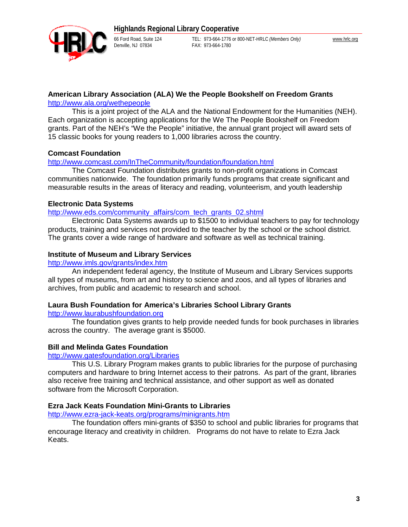

Denville, NJ 07834

66 Ford Road, Suite 124 TEL: 973-664-1776 or 800-NET-HRLC *(Members Only)* [www.hrlc.org](http://www.hrlc.org)

### **American Library Association (ALA) We the People Bookshelf on Freedom Grants**

<http://www.ala.org/wethepeople>

This is a joint project of the ALA and the National Endowment for the Humanities (NEH). Each organization is accepting applications for the We The People Bookshelf on Freedom grants. Part of the NEH's "We the People" initiative, the annual grant project will award sets of 15 classic books for young readers to 1,000 libraries across the country.

## **Comcast Foundation**

<http://www.comcast.com/InTheCommunity/foundation/foundation.html>

The Comcast Foundation distributes grants to non-profit organizations in Comcast communities nationwide. The foundation primarily funds programs that create significant and measurable results in the areas of literacy and reading, volunteerism, and youth leadership

### **Electronic Data Systems**

[http://www.eds.com/community\\_affairs/com\\_tech\\_grants\\_02.shtml](http://www.eds.com/community_affairs/com_tech_grants_02.shtml)

Electronic Data Systems awards up to \$1500 to individual teachers to pay for technology products, training and services not provided to the teacher by the school or the school district. The grants cover a wide range of hardware and software as well as technical training.

### **Institute of Museum and Library Services**

<http://www.imls.gov/grants/index.htm>

An independent federal agency, the Institute of Museum and Library Services supports all types of museums, from art and history to science and zoos, and all types of libraries and archives, from public and academic to research and school.

## **Laura Bush Foundation for America's Libraries School Library Grants**

<http://www.laurabushfoundation.org>

The foundation gives grants to help provide needed funds for book purchases in libraries across the country. The average grant is \$5000.

## **Bill and Melinda Gates Foundation**

<http://www.gatesfoundation.org/Libraries>

This U.S. Library Program makes grants to public libraries for the purpose of purchasing computers and hardware to bring Internet access to their patrons. As part of the grant, libraries also receive free training and technical assistance, and other support as well as donated software from the Microsoft Corporation.

## **Ezra Jack Keats Foundation Mini-Grants to Libraries**

<http://www.ezra-jack-keats.org/programs/minigrants.htm>

The foundation offers mini-grants of \$350 to school and public libraries for programs that encourage literacy and creativity in children. Programs do not have to relate to Ezra Jack Keats.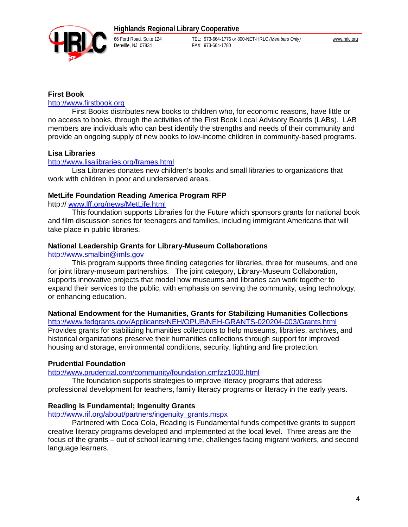# **Highlands Regional Library Cooperative**



66 Ford Road, Suite 124 TEL: 973-664-1776 or 800-NET-HRLC *(Members Only)* [www.hrlc.org](http://www.hrlc.org) FAX: 973-664-1780

### **First Book**

### <http://www.firstbook.org>

First Books distributes new books to children who, for economic reasons, have little or no access to books, through the activities of the First Book Local Advisory Boards (LABs). LAB members are individuals who can best identify the strengths and needs of their community and provide an ongoing supply of new books to low-income children in community-based programs.

### **Lisa Libraries**

### <http://www.lisalibraries.org/frames.html>

Lisa Libraries donates new children's books and small libraries to organizations that work with children in poor and underserved areas.

### **MetLife Foundation Reading America Program RFP**

http:// [www.lff.org/news/MetLife.html](http://www.lff.org/news/MetLife.html)

This foundation supports Libraries for the Future which sponsors grants for national book and film discussion series for teenagers and families, including immigrant Americans that will take place in public libraries.

### **National Leadership Grants for Library-Museum Collaborations**

<http://www.smalbin@imls.gov>

This program supports three finding categories for libraries, three for museums, and one for joint library-museum partnerships. The joint category, Library-Museum Collaboration, supports innovative projects that model how museums and libraries can work together to expand their services to the public, with emphasis on serving the community, using technology, or enhancing education.

### **National Endowment for the Humanities, Grants for Stabilizing Humanities Collections**

<http://www.fedgrants.gov/Applicants/NEH/OPUB/NEH-GRANTS-020204-003/Grants.html> Provides grants for stabilizing humanities collections to help museums, libraries, archives, and historical organizations preserve their humanities collections through support for improved housing and storage, environmental conditions, security, lighting and fire protection.

### **Prudential Foundation**

<http://www.prudential.com/community/foundation.cmfzz1000.html>

The foundation supports strategies to improve literacy programs that address professional development for teachers, family literacy programs or literacy in the early years.

### **Reading is Fundamental; Ingenuity Grants**

[http://www.rif.org/about/partners/ingenuity\\_grants.mspx](http://www.rif.org/about/partners/ingenuity_grants.mspx)

Partnered with Coca Cola, Reading is Fundamental funds competitive grants to support creative literacy programs developed and implemented at the local level. Three areas are the focus of the grants – out of school learning time, challenges facing migrant workers, and second language learners.